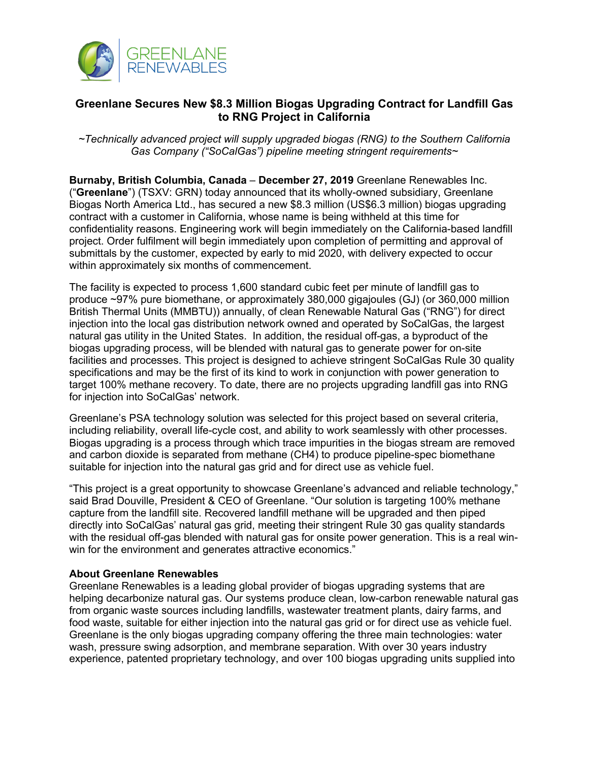

## **Greenlane Secures New \$8.3 Million Biogas Upgrading Contract for Landfill Gas to RNG Project in California**

*~Technically advanced project will supply upgraded biogas (RNG) to the Southern California Gas Company ("SoCalGas") pipeline meeting stringent requirements~*

**Burnaby, British Columbia, Canada** – **December 27, 2019** Greenlane Renewables Inc. ("**Greenlane**") (TSXV: GRN) today announced that its wholly-owned subsidiary, Greenlane Biogas North America Ltd., has secured a new \$8.3 million (US\$6.3 million) biogas upgrading contract with a customer in California, whose name is being withheld at this time for confidentiality reasons. Engineering work will begin immediately on the California-based landfill project. Order fulfilment will begin immediately upon completion of permitting and approval of submittals by the customer, expected by early to mid 2020, with delivery expected to occur within approximately six months of commencement.

The facility is expected to process 1,600 standard cubic feet per minute of landfill gas to produce ~97% pure biomethane, or approximately 380,000 gigajoules (GJ) (or 360,000 million British Thermal Units (MMBTU)) annually, of clean Renewable Natural Gas ("RNG") for direct injection into the local gas distribution network owned and operated by SoCalGas, the largest natural gas utility in the United States. In addition, the residual off-gas, a byproduct of the biogas upgrading process, will be blended with natural gas to generate power for on-site facilities and processes. This project is designed to achieve stringent SoCalGas Rule 30 quality specifications and may be the first of its kind to work in conjunction with power generation to target 100% methane recovery. To date, there are no projects upgrading landfill gas into RNG for injection into SoCalGas' network.

Greenlane's PSA technology solution was selected for this project based on several criteria, including reliability, overall life-cycle cost, and ability to work seamlessly with other processes. Biogas upgrading is a process through which trace impurities in the biogas stream are removed and carbon dioxide is separated from methane (CH4) to produce pipeline-spec biomethane suitable for injection into the natural gas grid and for direct use as vehicle fuel.

"This project is a great opportunity to showcase Greenlane's advanced and reliable technology," said Brad Douville, President & CEO of Greenlane. "Our solution is targeting 100% methane capture from the landfill site. Recovered landfill methane will be upgraded and then piped directly into SoCalGas' natural gas grid, meeting their stringent Rule 30 gas quality standards with the residual off-gas blended with natural gas for onsite power generation. This is a real winwin for the environment and generates attractive economics."

## **About Greenlane Renewables**

Greenlane Renewables is a leading global provider of biogas upgrading systems that are helping decarbonize natural gas. Our systems produce clean, low-carbon renewable natural gas from organic waste sources including landfills, wastewater treatment plants, dairy farms, and food waste, suitable for either injection into the natural gas grid or for direct use as vehicle fuel. Greenlane is the only biogas upgrading company offering the three main technologies: water wash, pressure swing adsorption, and membrane separation. With over 30 years industry experience, patented proprietary technology, and over 100 biogas upgrading units supplied into